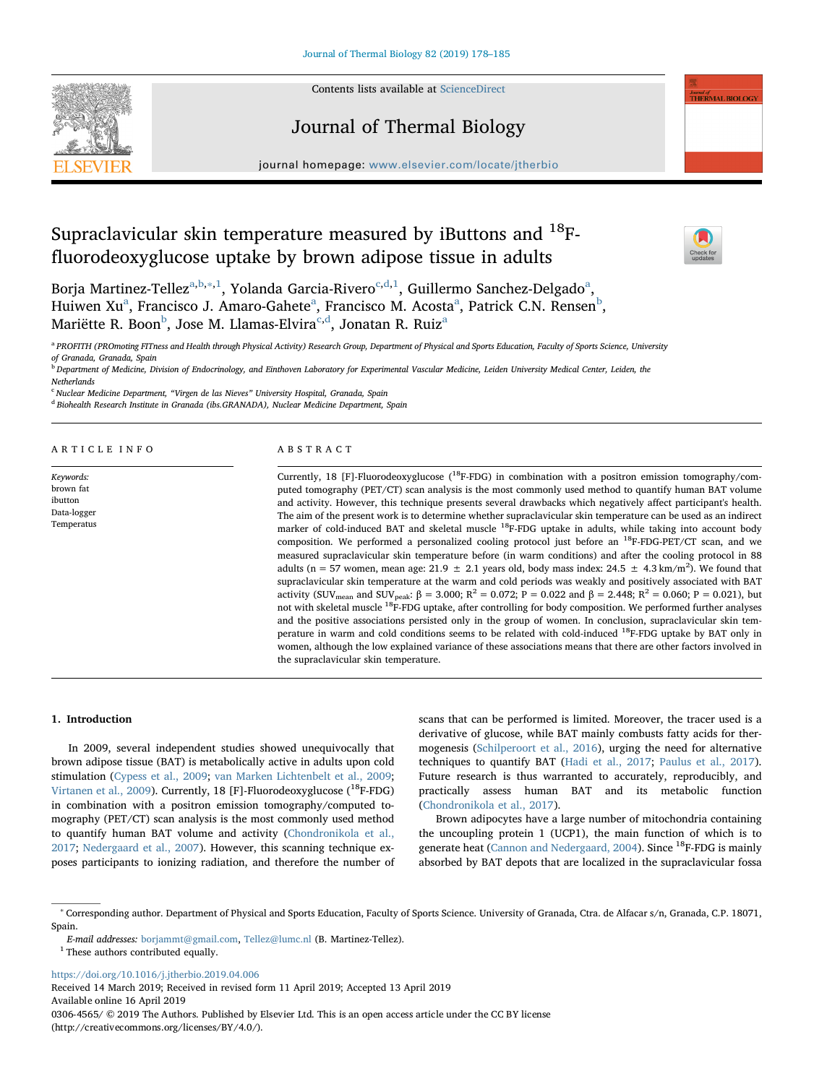

Contents lists available at [ScienceDirect](http://www.sciencedirect.com/science/journal/03064565)

# Journal of Thermal Biology



 $\sum_{\text{the}}$ 

journal homepage: [www.elsevier.com/locate/jtherbio](https://www.elsevier.com/locate/jtherbio)logy/service/intervalse/service/intervalse/service/intervalse/

# Supraclavicular skin temperature measured by iButtons and  $^{18}$ Ffluorodeoxyglucose uptake by brown adipose tissue in adults

Borja Martinez-Tellez<sup>[a,](#page-0-0)[b](#page-0-1),</sup>[∗](#page-0-2),<sup>[1](#page-0-3)</sup>, Yolanda Garcia-Rivero<sup>[c,](#page-0-4)[d](#page-0-5)[,1](#page-0-3)</sup>, Guillermo S[a](#page-0-0)nchez-Delgado<sup>a</sup>, Huiwen Xu<sup>[a](#page-0-0)</sup>, Francisco J. Amaro-Gahete<sup>a</sup>, Francisco M. Acosta<sup>a</sup>, Patrick C.N. Rensen<sup>[b](#page-0-1)</sup>, Mariëtte R. Boon<sup>[b](#page-0-1)</sup>, Jose M. Llamas-Elvira<sup>[c,](#page-0-4)[d](#page-0-5)</sup>, Jon[a](#page-0-0)tan R. Ruiz<sup>a</sup>

<span id="page-0-0"></span>a PROFITH (PROmoting FITness and Health through Physical Activity) Research Group, Department of Physical and Sports Education, Faculty of Sports Science, University of Granada, Granada, Spain

<span id="page-0-1"></span><sup>b</sup> Department of Medicine, Division of Endocrinology, and Einthoven Laboratory for Experimental Vascular Medicine, Leiden University Medical Center, Leiden, the **Netherlands** 

<span id="page-0-4"></span><sup>c</sup> Nuclear Medicine Department, "Virgen de las Nieves" University Hospital, Granada, Spain

<span id="page-0-5"></span><sup>d</sup> Biohealth Research Institute in Granada (ibs.GRANADA), Nuclear Medicine Department, Spain

### ARTICLE INFO

Keywords: brown fat ibutton Data-logger Temperatus

# ABSTRACT

Currently, 18 [F]-Fluorodeoxyglucose  $(^{18}F-FDG)$  in combination with a positron emission tomography/computed tomography (PET/CT) scan analysis is the most commonly used method to quantify human BAT volume and activity. However, this technique presents several drawbacks which negatively affect participant's health. The aim of the present work is to determine whether supraclavicular skin temperature can be used as an indirect marker of cold-induced BAT and skeletal muscle <sup>18</sup>F-FDG uptake in adults, while taking into account body composition. We performed a personalized cooling protocol just before an  $^{18}$ F-FDG-PET/CT scan, and we measured supraclavicular skin temperature before (in warm conditions) and after the cooling protocol in 88 adults (n = 57 women, mean age: 21.9  $\pm$  2.1 years old, body mass index: 24.5  $\pm$  4.3 km/m<sup>2</sup>). We found that supraclavicular skin temperature at the warm and cold periods was weakly and positively associated with BAT activity (SUV<sub>mean</sub> and SUV<sub>peak</sub>:  $\beta = 3.000$ ; R<sup>2</sup> = 0.072; P = 0.022 and  $\beta = 2.448$ ; R<sup>2</sup> = 0.060; P = 0.021), but not with skeletal muscle <sup>18</sup>F-FDG uptake, after controlling for body composition. We performed further analyses and the positive associations persisted only in the group of women. In conclusion, supraclavicular skin temperature in warm and cold conditions seems to be related with cold-induced 18F-FDG uptake by BAT only in women, although the low explained variance of these associations means that there are other factors involved in the supraclavicular skin temperature.

### 1. Introduction

In 2009, several independent studies showed unequivocally that brown adipose tissue (BAT) is metabolically active in adults upon cold stimulation ([Cypess et al., 2009;](#page-6-0) [van Marken Lichtenbelt et al., 2009](#page-7-0); [Virtanen et al., 2009\)](#page-7-1). Currently, 18 [F]-Fluorodeoxyglucose (<sup>18</sup>F-FDG) in combination with a positron emission tomography/computed tomography (PET/CT) scan analysis is the most commonly used method to quantify human BAT volume and activity ([Chondronikola et al.,](#page-6-1) [2017;](#page-6-1) [Nedergaard et al., 2007\)](#page-7-2). However, this scanning technique exposes participants to ionizing radiation, and therefore the number of scans that can be performed is limited. Moreover, the tracer used is a derivative of glucose, while BAT mainly combusts fatty acids for thermogenesis [\(Schilperoort et al., 2016](#page-7-3)), urging the need for alternative techniques to quantify BAT ([Hadi et al., 2017;](#page-6-2) [Paulus et al., 2017](#page-7-4)). Future research is thus warranted to accurately, reproducibly, and practically assess human BAT and its metabolic function ([Chondronikola et al., 2017](#page-6-1)).

Brown adipocytes have a large number of mitochondria containing the uncoupling protein 1 (UCP1), the main function of which is to generate heat [\(Cannon and Nedergaard, 2004\)](#page-6-3). Since <sup>18</sup>F-FDG is mainly absorbed by BAT depots that are localized in the supraclavicular fossa

<https://doi.org/10.1016/j.jtherbio.2019.04.006>

Received 14 March 2019; Received in revised form 11 April 2019; Accepted 13 April 2019 Available online 16 April 2019 0306-4565/ © 2019 The Authors. Published by Elsevier Ltd. This is an open access article under the CC BY license (http://creativecommons.org/licenses/BY/4.0/).

<span id="page-0-2"></span><sup>∗</sup> Corresponding author. Department of Physical and Sports Education, Faculty of Sports Science. University of Granada, Ctra. de Alfacar s/n, Granada, C.P. 18071, Spain.

E-mail addresses: [borjammt@gmail.com](mailto:borjammt@gmail.com), [Tellez@lumc.nl](mailto:Tellez@lumc.nl) (B. Martinez-Tellez).

<span id="page-0-3"></span> $^{\rm 1}$  These authors contributed equally.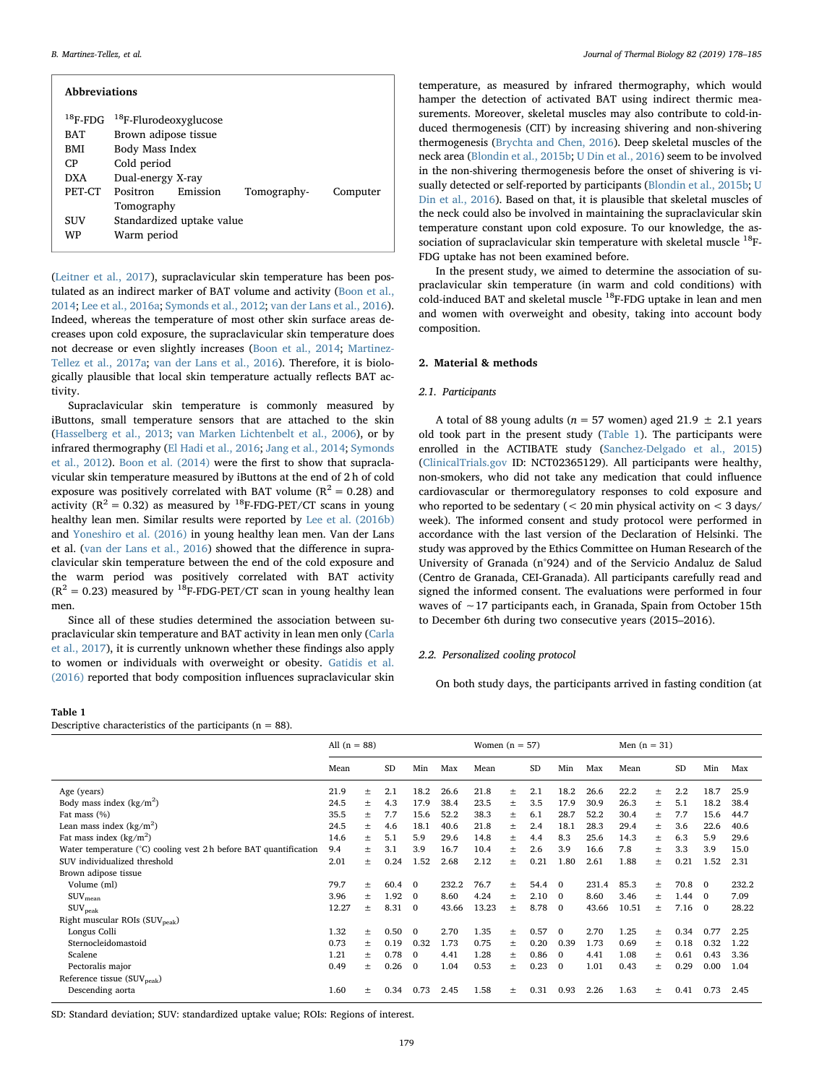| <b>Abbreviations</b> |                                           |          |             |          |  |  |  |  |  |  |  |
|----------------------|-------------------------------------------|----------|-------------|----------|--|--|--|--|--|--|--|
|                      | $^{18}$ F-FDG $^{18}$ F-Flurodeoxyglucose |          |             |          |  |  |  |  |  |  |  |
| <b>BAT</b>           | Brown adipose tissue                      |          |             |          |  |  |  |  |  |  |  |
| BMI                  | Body Mass Index                           |          |             |          |  |  |  |  |  |  |  |
| CP.                  | Cold period                               |          |             |          |  |  |  |  |  |  |  |
| <b>DXA</b>           | Dual-energy X-ray                         |          |             |          |  |  |  |  |  |  |  |
| PET-CT               | Positron                                  | Emission | Tomography- | Computer |  |  |  |  |  |  |  |
|                      | Tomography                                |          |             |          |  |  |  |  |  |  |  |
| SUV                  | Standardized uptake value                 |          |             |          |  |  |  |  |  |  |  |
| WP                   | Warm period                               |          |             |          |  |  |  |  |  |  |  |

([Leitner et al., 2017](#page-7-5)), supraclavicular skin temperature has been postulated as an indirect marker of BAT volume and activity ([Boon et al.,](#page-6-4) [2014;](#page-6-4) [Lee et al., 2016a](#page-6-5); [Symonds et al., 2012](#page-7-6); [van der Lans et al., 2016](#page-7-7)). Indeed, whereas the temperature of most other skin surface areas decreases upon cold exposure, the supraclavicular skin temperature does not decrease or even slightly increases [\(Boon et al., 2014](#page-6-4); [Martinez-](#page-7-8)[Tellez et al., 2017a](#page-7-8); [van der Lans et al., 2016\)](#page-7-7). Therefore, it is biologically plausible that local skin temperature actually reflects BAT activity.

Supraclavicular skin temperature is commonly measured by iButtons, small temperature sensors that are attached to the skin ([Hasselberg et al., 2013](#page-6-6); [van Marken Lichtenbelt et al., 2006\)](#page-7-9), or by infrared thermography ([El Hadi et al., 2016](#page-6-7); [Jang et al., 2014;](#page-6-8) [Symonds](#page-7-6) [et al., 2012](#page-7-6)). [Boon et al. \(2014\)](#page-6-4) were the first to show that supraclavicular skin temperature measured by iButtons at the end of 2 h of cold exposure was positively correlated with BAT volume ( $R^2 = 0.28$ ) and activity ( $R^2 = 0.32$ ) as measured by <sup>18</sup>F-FDG-PET/CT scans in young healthy lean men. Similar results were reported by [Lee et al. \(2016b\)](#page-7-10) and [Yoneshiro et al. \(2016\)](#page-7-11) in young healthy lean men. Van der Lans et al. ([van der Lans et al., 2016](#page-7-7)) showed that the difference in supraclavicular skin temperature between the end of the cold exposure and the warm period was positively correlated with BAT activity  $(R^2 = 0.23)$  measured by <sup>18</sup>F-FDG-PET/CT scan in young healthy lean men.

Since all of these studies determined the association between supraclavicular skin temperature and BAT activity in lean men only [\(Carla](#page-6-9) [et al., 2017\)](#page-6-9), it is currently unknown whether these findings also apply to women or individuals with overweight or obesity. [Gatidis et al.](#page-6-10) [\(2016\)](#page-6-10) reported that body composition influences supraclavicular skin

### <span id="page-1-0"></span>Table 1 Descriptive characteristics of the participants ( $n = 88$ ).

temperature, as measured by infrared thermography, which would hamper the detection of activated BAT using indirect thermic measurements. Moreover, skeletal muscles may also contribute to cold-induced thermogenesis (CIT) by increasing shivering and non-shivering thermogenesis ([Brychta and Chen, 2016](#page-6-11)). Deep skeletal muscles of the neck area ([Blondin et al., 2015b](#page-6-12); [U Din et al., 2016](#page-7-12)) seem to be involved in the non-shivering thermogenesis before the onset of shivering is visually detected or self-reported by participants ([Blondin et al., 2015b;](#page-6-12) [U](#page-7-12) [Din et al., 2016](#page-7-12)). Based on that, it is plausible that skeletal muscles of the neck could also be involved in maintaining the supraclavicular skin temperature constant upon cold exposure. To our knowledge, the association of supraclavicular skin temperature with skeletal muscle  $^{18}$ F-FDG uptake has not been examined before.

In the present study, we aimed to determine the association of supraclavicular skin temperature (in warm and cold conditions) with cold-induced BAT and skeletal muscle 18F-FDG uptake in lean and men and women with overweight and obesity, taking into account body composition.

### 2. Material & methods

### 2.1. Participants

A total of 88 young adults ( $n = 57$  women) aged 21.9  $\pm$  2.1 years old took part in the present study ([Table 1\)](#page-1-0). The participants were enrolled in the ACTIBATE study ([Sanchez-Delgado et al., 2015\)](#page-7-13) ([ClinicalTrials.gov](http://ClinicalTrials.gov) ID: NCT02365129). All participants were healthy, non-smokers, who did not take any medication that could influence cardiovascular or thermoregulatory responses to cold exposure and who reported to be sedentary ( $<$  20 min physical activity on  $<$  3 days/ week). The informed consent and study protocol were performed in accordance with the last version of the Declaration of Helsinki. The study was approved by the Ethics Committee on Human Research of the University of Granada (n°924) and of the Servicio Andaluz de Salud (Centro de Granada, CEI-Granada). All participants carefully read and signed the informed consent. The evaluations were performed in four waves of ∼17 participants each, in Granada, Spain from October 15th to December 6th during two consecutive years (2015–2016).

### 2.2. Personalized cooling protocol

On both study days, the participants arrived in fasting condition (at

|                                                                  | All $(n = 88)$ |        |           |              | Women $(n = 57)$ |       |          |           |                | Men $(n = 31)$ |       |          |           |          |       |
|------------------------------------------------------------------|----------------|--------|-----------|--------------|------------------|-------|----------|-----------|----------------|----------------|-------|----------|-----------|----------|-------|
|                                                                  | Mean           |        | <b>SD</b> | Min          | Max              | Mean  |          | <b>SD</b> | Min            | Max            | Mean  |          | <b>SD</b> | Min      | Max   |
| Age (years)                                                      | 21.9           | $\pm$  | 2.1       | 18.2         | 26.6             | 21.8  | 士        | 2.1       | 18.2           | 26.6           | 22.2  | 士        | 2.2       | 18.7     | 25.9  |
| Body mass index $(kg/m2)$                                        | 24.5           | 士      | 4.3       | 17.9         | 38.4             | 23.5  | 士        | 3.5       | 17.9           | 30.9           | 26.3  | 士        | 5.1       | 18.2     | 38.4  |
| Fat mass (%)                                                     | 35.5           | $\pm$  | 7.7       | 15.6         | 52.2             | 38.3  | $_{\pm}$ | 6.1       | 28.7           | 52.2           | 30.4  | $_{\pm}$ | 7.7       | 15.6     | 44.7  |
| Lean mass index $(kg/m^2)$                                       | 24.5           | $\pm$  | 4.6       | 18.1         | 40.6             | 21.8  | $_{\pm}$ | 2.4       | 18.1           | 28.3           | 29.4  | $_{\pm}$ | 3.6       | 22.6     | 40.6  |
| Fat mass index $(kg/m2)$                                         |                | $\pm$  | 5.1       | 5.9          | 29.6             | 14.8  | 士        | 4.4       | 8.3            | 25.6           | 14.3  | $\pm$    | 6.3       | 5.9      | 29.6  |
| Water temperature (°C) cooling vest 2h before BAT quantification | 9.4            | $\pm$  | 3.1       | 3.9          | 16.7             | 10.4  | $_{\pm}$ | 2.6       | 3.9            | 16.6           | 7.8   | $\pm$    | 3.3       | 3.9      | 15.0  |
| SUV individualized threshold                                     |                | $\pm$  | 0.24      | 1.52         | 2.68             | 2.12  | $_{\pm}$ | 0.21      | 1.80           | 2.61           | 1.88  | Ŧ        | 0.21      | 1.52     | 2.31  |
| Brown adipose tissue                                             |                |        |           |              |                  |       |          |           |                |                |       |          |           |          |       |
| Volume (ml)                                                      | 79.7           | $\pm$  | 60.4      | $\Omega$     | 232.2            | 76.7  | $\pm$    | 54.4      | $\Omega$       | 231.4          | 85.3  | $_{\pm}$ | 70.8      | $\Omega$ | 232.2 |
| $\text{SUV}_{\text{mean}}$                                       | 3.96           | $\pm$  | 1.92      | $\mathbf{0}$ | 8.60             | 4.24  | 士        | 2.10      | $\mathbf{0}$   | 8.60           | 3.46  | $_{\pm}$ | 1.44      | $\Omega$ | 7.09  |
| $\text{SUV}_{\text{peak}}$                                       | 12.27          | $\pm$  | 8.31      | $\mathbf{0}$ | 43.66            | 13.23 | $_{\pm}$ | 8.78      | $\mathbf{0}$   | 43.66          | 10.51 | $_{\pm}$ | 7.16      | $\Omega$ | 28.22 |
| Right muscular ROIs $(SUV_{\text{peak}})$                        |                |        |           |              |                  |       |          |           |                |                |       |          |           |          |       |
| Longus Colli                                                     | 1.32           | $\pm$  | 0.50      | $\Omega$     | 2.70             | 1.35  | $_{\pm}$ | 0.57      | $\Omega$       | 2.70           | 1.25  | $_{\pm}$ | 0.34      | 0.77     | 2.25  |
| Sternocleidomastoid                                              | 0.73           | $\pm$  | 0.19      | 0.32         | 1.73             | 0.75  | 士        | 0.20      | 0.39           | 1.73           | 0.69  | Ŧ        | 0.18      | 0.32     | 1.22  |
| Scalene                                                          | 1.21           | $\pm$  | 0.78      | $\mathbf{0}$ | 4.41             | 1.28  | 士        | 0.86      | $\Omega$       | 4.41           | 1.08  | $_{\pm}$ | 0.61      | 0.43     | 3.36  |
| Pectoralis major                                                 | 0.49           | $\pm$  | 0.26      | $\mathbf{0}$ | 1.04             | 0.53  | $_{\pm}$ | 0.23      | $\overline{0}$ | 1.01           | 0.43  | Ŧ.       | 0.29      | 0.00     | 1.04  |
| Reference tissue (SUV <sub>peak</sub> )                          |                |        |           |              |                  |       |          |           |                |                |       |          |           |          |       |
| Descending aorta                                                 | 1.60           | $^{+}$ | 0.34      | 0.73         | 2.45             | 1.58  | 土        | 0.31      | 0.93           | 2.26           | 1.63  | $_{\pm}$ | 0.41      | 0.73     | 2.45  |

SD: Standard deviation; SUV: standardized uptake value; ROIs: Regions of interest.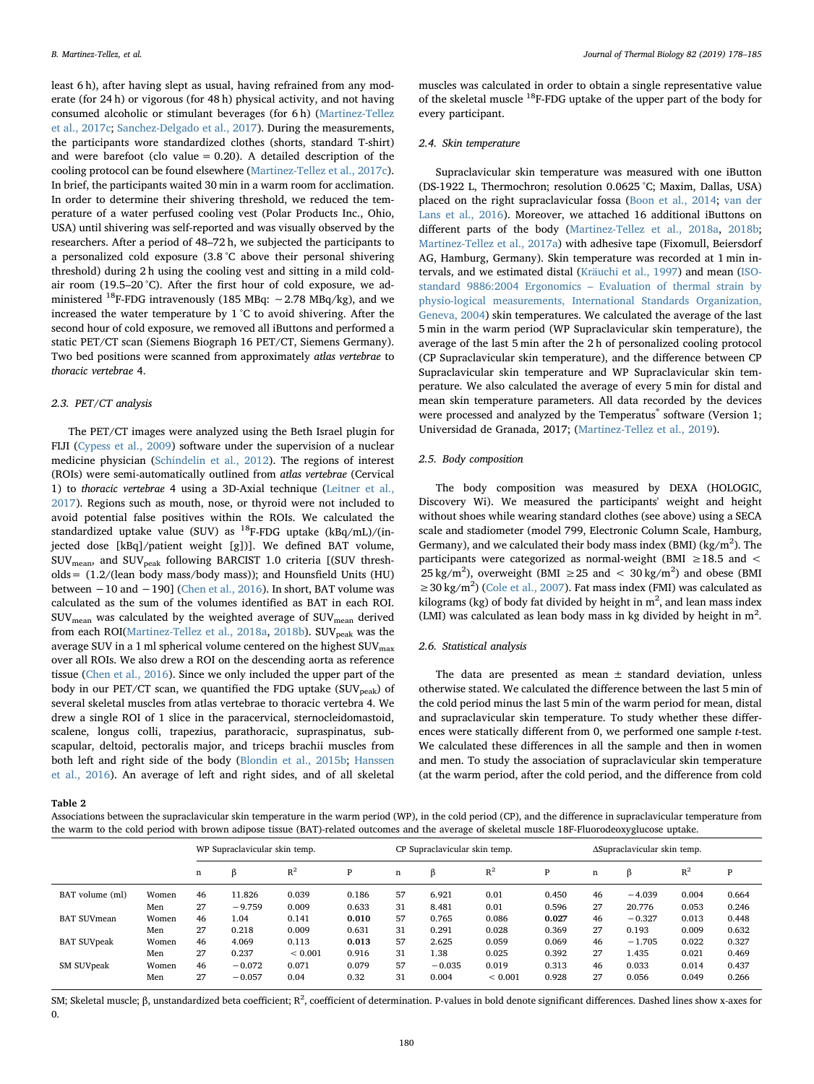least 6 h), after having slept as usual, having refrained from any moderate (for 24 h) or vigorous (for 48 h) physical activity, and not having consumed alcoholic or stimulant beverages (for 6 h) ([Martinez-Tellez](#page-7-14) [et al., 2017c](#page-7-14); [Sanchez-Delgado et al., 2017](#page-7-15)). During the measurements, the participants wore standardized clothes (shorts, standard T-shirt) and were barefoot (clo value  $= 0.20$ ). A detailed description of the cooling protocol can be found elsewhere ([Martinez-Tellez et al., 2017c](#page-7-14)). In brief, the participants waited 30 min in a warm room for acclimation. In order to determine their shivering threshold, we reduced the temperature of a water perfused cooling vest (Polar Products Inc., Ohio, USA) until shivering was self-reported and was visually observed by the researchers. After a period of 48–72 h, we subjected the participants to a personalized cold exposure (3.8 °C above their personal shivering threshold) during 2 h using the cooling vest and sitting in a mild coldair room (19.5–20 °C). After the first hour of cold exposure, we administered 18F-FDG intravenously (185 MBq: ∼2.78 MBq/kg), and we increased the water temperature by 1 °C to avoid shivering. After the second hour of cold exposure, we removed all iButtons and performed a static PET/CT scan (Siemens Biograph 16 PET/CT, Siemens Germany). Two bed positions were scanned from approximately atlas vertebrae to thoracic vertebrae 4.

### 2.3. PET/CT analysis

The PET/CT images were analyzed using the Beth Israel plugin for FIJI [\(Cypess et al., 2009](#page-6-0)) software under the supervision of a nuclear medicine physician [\(Schindelin et al., 2012\)](#page-7-16). The regions of interest (ROIs) were semi-automatically outlined from atlas vertebrae (Cervical 1) to thoracic vertebrae 4 using a 3D-Axial technique ([Leitner et al.,](#page-7-5) [2017\)](#page-7-5). Regions such as mouth, nose, or thyroid were not included to avoid potential false positives within the ROIs. We calculated the standardized uptake value (SUV) as  $^{18}$ F-FDG uptake (kBq/mL)/(injected dose [kBq]/patient weight [g])]. We defined BAT volume, SUVmean, and SUVpeak following BARCIST 1.0 criteria [(SUV thresholds= (1.2/(lean body mass/body mass)); and Hounsfield Units (HU) between −10 and −190] ([Chen et al., 2016\)](#page-6-13). In short, BAT volume was calculated as the sum of the volumes identified as BAT in each ROI. SUVmean was calculated by the weighted average of SUVmean derived from each ROI([Martinez-Tellez et al., 2018a,](#page-7-17) [2018b\)](#page-7-18). SUV<sub>peak</sub> was the average SUV in a 1 ml spherical volume centered on the highest  $\rm{SUV_{max}}$ over all ROIs. We also drew a ROI on the descending aorta as reference tissue ([Chen et al., 2016](#page-6-13)). Since we only included the upper part of the body in our PET/CT scan, we quantified the FDG uptake  $(SUV_{peak})$  of several skeletal muscles from atlas vertebrae to thoracic vertebra 4. We drew a single ROI of 1 slice in the paracervical, sternocleidomastoid, scalene, longus colli, trapezius, parathoracic, supraspinatus, subscapular, deltoid, pectoralis major, and triceps brachii muscles from both left and right side of the body ([Blondin et al., 2015b;](#page-6-12) [Hanssen](#page-6-14) [et al., 2016\)](#page-6-14). An average of left and right sides, and of all skeletal

<span id="page-2-0"></span>Table 2

muscles was calculated in order to obtain a single representative value of the skeletal muscle 18F-FDG uptake of the upper part of the body for every participant.

### 2.4. Skin temperature

Supraclavicular skin temperature was measured with one iButton (DS-1922 L, Thermochron; resolution 0.0625 °C; Maxim, Dallas, USA) placed on the right supraclavicular fossa ([Boon et al., 2014](#page-6-4); [van der](#page-7-7) [Lans et al., 2016\)](#page-7-7). Moreover, we attached 16 additional iButtons on different parts of the body [\(Martinez-Tellez et al., 2018a,](#page-7-17) [2018b](#page-7-18); [Martinez-Tellez et al., 2017a](#page-7-8)) with adhesive tape (Fixomull, Beiersdorf AG, Hamburg, Germany). Skin temperature was recorded at 1 min intervals, and we estimated distal [\(Kräuchi et al., 1997](#page-6-15)) and mean [\(ISO](#page-6-16)standard 9886:2004 Ergonomics – [Evaluation of thermal strain by](#page-6-16) [physio-logical measurements, International Standards Organization,](#page-6-16) [Geneva, 2004](#page-6-16)) skin temperatures. We calculated the average of the last 5 min in the warm period (WP Supraclavicular skin temperature), the average of the last 5 min after the 2 h of personalized cooling protocol (CP Supraclavicular skin temperature), and the difference between CP Supraclavicular skin temperature and WP Supraclavicular skin temperature. We also calculated the average of every 5 min for distal and mean skin temperature parameters. All data recorded by the devices were processed and analyzed by the Temperatus<sup>®</sup> software (Version 1; Universidad de Granada, 2017; [\(Martinez-Tellez et al., 2019\)](#page-7-19).

# 2.5. Body composition

The body composition was measured by DEXA (HOLOGIC, Discovery Wi). We measured the participants' weight and height without shoes while wearing standard clothes (see above) using a SECA scale and stadiometer (model 799, Electronic Column Scale, Hamburg, Germany), and we calculated their body mass index (BMI) ( $\text{kg/m}^2$ ). The participants were categorized as normal-weight (BMI ≥18.5 and < 25 kg/m<sup>2</sup>), overweight (BMI  $\geq$  25 and < 30 kg/m<sup>2</sup>) and obese (BMI ≥ 30 kg/m<sup>2</sup>) ([Cole et al., 2007](#page-6-17)). Fat mass index (FMI) was calculated as kilograms (kg) of body fat divided by height in  $m^2$ , and lean mass index (LMI) was calculated as lean body mass in kg divided by height in  $m^2$ .

## 2.6. Statistical analysis

The data are presented as mean  $\pm$  standard deviation, unless otherwise stated. We calculated the difference between the last 5 min of the cold period minus the last 5 min of the warm period for mean, distal and supraclavicular skin temperature. To study whether these differences were statically different from 0, we performed one sample t-test. We calculated these differences in all the sample and then in women and men. To study the association of supraclavicular skin temperature (at the warm period, after the cold period, and the difference from cold

| Associations between the supraclavicular skin temperature in the warm period (WP), in the cold period (CP), and the difference in supraclavicular temperature from |  |
|--------------------------------------------------------------------------------------------------------------------------------------------------------------------|--|
| the warm to the cold period with brown adipose tissue (BAT)-related outcomes and the average of skeletal muscle 18F-Fluorodeoxyglucose uptake.                     |  |

|                    |       | WP Supraclavicular skin temp. |          |             |       |    | CP Supraclavicular skin temp. |             | ΔSupraclavicular skin temp. |    |          |       |       |
|--------------------|-------|-------------------------------|----------|-------------|-------|----|-------------------------------|-------------|-----------------------------|----|----------|-------|-------|
|                    |       | n                             | ß        | $R^2$       | P     | n  | ß                             | $R^2$       | P                           | n  | ß        | $R^2$ | P     |
| BAT volume (ml)    | Women | 46                            | 11.826   | 0.039       | 0.186 | 57 | 6.921                         | 0.01        | 0.450                       | 46 | $-4.039$ | 0.004 | 0.664 |
|                    | Men   | 27                            | $-9.759$ | 0.009       | 0.633 | 31 | 8.481                         | 0.01        | 0.596                       | 27 | 20.776   | 0.053 | 0.246 |
| <b>BAT SUVmean</b> | Women | 46                            | 1.04     | 0.141       | 0.010 | 57 | 0.765                         | 0.086       | 0.027                       | 46 | $-0.327$ | 0.013 | 0.448 |
|                    | Men   | 27                            | 0.218    | 0.009       | 0.631 | 31 | 0.291                         | 0.028       | 0.369                       | 27 | 0.193    | 0.009 | 0.632 |
| <b>BAT SUVpeak</b> | Women | 46                            | 4.069    | 0.113       | 0.013 | 57 | 2.625                         | 0.059       | 0.069                       | 46 | $-1.705$ | 0.022 | 0.327 |
|                    | Men   | 27                            | 0.237    | ${}< 0.001$ | 0.916 | 31 | 1.38                          | 0.025       | 0.392                       | 27 | 1.435    | 0.021 | 0.469 |
| SM SUVpeak         | Women | 46                            | $-0.072$ | 0.071       | 0.079 | 57 | $-0.035$                      | 0.019       | 0.313                       | 46 | 0.033    | 0.014 | 0.437 |
|                    | Men   | 27                            | $-0.057$ | 0.04        | 0.32  | 31 | 0.004                         | ${}< 0.001$ | 0.928                       | 27 | 0.056    | 0.049 | 0.266 |

SM; Skeletal muscle; β, unstandardized beta coefficient; R<sup>2</sup>, coefficient of determination. P-values in bold denote significant differences. Dashed lines show x-axes for 0.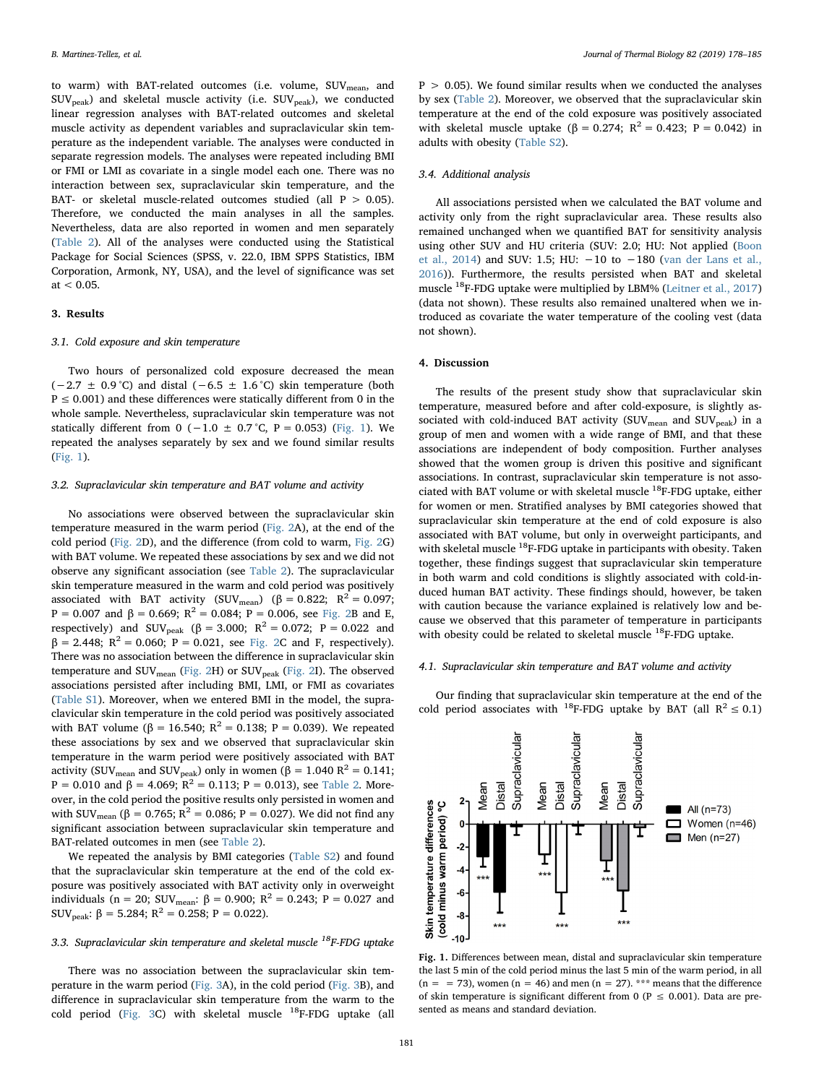to warm) with BAT-related outcomes (i.e. volume, SUV<sub>mean</sub>, and SUVpeak) and skeletal muscle activity (i.e. SUVpeak), we conducted linear regression analyses with BAT-related outcomes and skeletal muscle activity as dependent variables and supraclavicular skin temperature as the independent variable. The analyses were conducted in separate regression models. The analyses were repeated including BMI or FMI or LMI as covariate in a single model each one. There was no interaction between sex, supraclavicular skin temperature, and the BAT- or skeletal muscle-related outcomes studied (all  $P > 0.05$ ). Therefore, we conducted the main analyses in all the samples. Nevertheless, data are also reported in women and men separately ([Table 2\)](#page-2-0). All of the analyses were conducted using the Statistical Package for Social Sciences (SPSS, v. 22.0, IBM SPPS Statistics, IBM Corporation, Armonk, NY, USA), and the level of significance was set at  $< 0.05$ .

## 3. Results

#### 3.1. Cold exposure and skin temperature

Two hours of personalized cold exposure decreased the mean  $(-2.7 \pm 0.9 \degree C)$  and distal  $(-6.5 \pm 1.6 \degree C)$  skin temperature (both  $P \le 0.001$ ) and these differences were statically different from 0 in the whole sample. Nevertheless, supraclavicular skin temperature was not statically different from 0 (−1.0 ± 0.7 °C, P = 0.053) [\(Fig. 1](#page-3-0)). We repeated the analyses separately by sex and we found similar results ([Fig. 1\)](#page-3-0).

### 3.2. Supraclavicular skin temperature and BAT volume and activity

No associations were observed between the supraclavicular skin temperature measured in the warm period [\(Fig. 2](#page-4-0)A), at the end of the cold period ([Fig. 2D](#page-4-0)), and the difference (from cold to warm, [Fig. 2](#page-4-0)G) with BAT volume. We repeated these associations by sex and we did not observe any significant association (see [Table 2\)](#page-2-0). The supraclavicular skin temperature measured in the warm and cold period was positively associated with BAT activity (SUV<sub>mean</sub>) ( $\beta = 0.822$ ; R<sup>2</sup> = 0.097; P = 0.007 and β = 0.669; R<sup>2</sup> = 0.084; P = 0.006, see [Fig. 2](#page-4-0)B and E, respectively) and SUV<sub>peak</sub> (β = 3.000; R<sup>2</sup> = 0.072; P = 0.022 and  $β = 2.448$ ; R<sup>2</sup> = 0.060; P = 0.021, see [Fig. 2C](#page-4-0) and F, respectively). There was no association between the difference in supraclavicular skin temperature and  $\text{SUV}_{\text{mean}}$  ([Fig. 2H](#page-4-0)) or  $\text{SUV}_{\text{peak}}$  [\(Fig. 2I](#page-4-0)). The observed associations persisted after including BMI, LMI, or FMI as covariates (Table S1). Moreover, when we entered BMI in the model, the supraclavicular skin temperature in the cold period was positively associated with BAT volume (β = 16.540;  $R^2 = 0.138$ ; P = 0.039). We repeated these associations by sex and we observed that supraclavicular skin temperature in the warm period were positively associated with BAT activity (SUV<sub>mean</sub> and SUV<sub>peak</sub>) only in women ( $\beta = 1.040 R^2 = 0.141$ ; P = 0.010 and β = 4.069;  $R^2$  = 0.113; P = 0.013), see [Table 2.](#page-2-0) Moreover, in the cold period the positive results only persisted in women and with SUV<sub>mean</sub> (β = 0.765; R<sup>2</sup> = 0.086; P = 0.027). We did not find any significant association between supraclavicular skin temperature and BAT-related outcomes in men (see [Table 2](#page-2-0)).

We repeated the analysis by BMI categories (Table S2) and found that the supraclavicular skin temperature at the end of the cold exposure was positively associated with BAT activity only in overweight individuals (n = 20; SUV<sub>mean</sub>:  $\beta$  = 0.900; R<sup>2</sup> = 0.243; P = 0.027 and SUV<sub>peak</sub>:  $\beta = 5.284$ ;  $R^2 = 0.258$ ;  $P = 0.022$ ).

# 3.3. Supraclavicular skin temperature and skeletal muscle  $^{18}$ F-FDG uptake

There was no association between the supraclavicular skin temperature in the warm period ([Fig. 3A](#page-4-1)), in the cold period [\(Fig. 3](#page-4-1)B), and difference in supraclavicular skin temperature from the warm to the cold period [\(Fig. 3](#page-4-1)C) with skeletal muscle <sup>18</sup>F-FDG uptake (all

 $P > 0.05$ ). We found similar results when we conducted the analyses by sex ([Table 2\)](#page-2-0). Moreover, we observed that the supraclavicular skin temperature at the end of the cold exposure was positively associated with skeletal muscle uptake (β = 0.274;  $R^2 = 0.423$ ; P = 0.042) in adults with obesity (Table S2).

### 3.4. Additional analysis

All associations persisted when we calculated the BAT volume and activity only from the right supraclavicular area. These results also remained unchanged when we quantified BAT for sensitivity analysis using other SUV and HU criteria (SUV: 2.0; HU: Not applied ([Boon](#page-6-4) [et al., 2014](#page-6-4)) and SUV: 1.5; HU:  $-10$  to  $-180$  ([van der Lans et al.,](#page-7-7) [2016\)](#page-7-7)). Furthermore, the results persisted when BAT and skeletal muscle  $^{18}$ F-FDG uptake were multiplied by LBM% ([Leitner et al., 2017\)](#page-7-5) (data not shown). These results also remained unaltered when we introduced as covariate the water temperature of the cooling vest (data not shown).

### 4. Discussion

The results of the present study show that supraclavicular skin temperature, measured before and after cold-exposure, is slightly associated with cold-induced BAT activity (SUV<sub>mean</sub> and SUV<sub>peak</sub>) in a group of men and women with a wide range of BMI, and that these associations are independent of body composition. Further analyses showed that the women group is driven this positive and significant associations. In contrast, supraclavicular skin temperature is not associated with BAT volume or with skeletal muscle 18F-FDG uptake, either for women or men. Stratified analyses by BMI categories showed that supraclavicular skin temperature at the end of cold exposure is also associated with BAT volume, but only in overweight participants, and with skeletal muscle <sup>18</sup>F-FDG uptake in participants with obesity. Taken together, these findings suggest that supraclavicular skin temperature in both warm and cold conditions is slightly associated with cold-induced human BAT activity. These findings should, however, be taken with caution because the variance explained is relatively low and because we observed that this parameter of temperature in participants with obesity could be related to skeletal muscle  $^{18}{\rm F\text{-}FDG}$  uptake.

### 4.1. Supraclavicular skin temperature and BAT volume and activity

Our finding that supraclavicular skin temperature at the end of the cold period associates with <sup>18</sup>F-FDG uptake by BAT (all  $R^2 \le 0.1$ )

<span id="page-3-0"></span>

Fig. 1. Differences between mean, distal and supraclavicular skin temperature the last 5 min of the cold period minus the last 5 min of the warm period, in all  $(n = 73)$ , women  $(n = 46)$  and men  $(n = 27)$ . \*\*\* means that the difference of skin temperature is significant different from 0 ( $P \le 0.001$ ). Data are presented as means and standard deviation.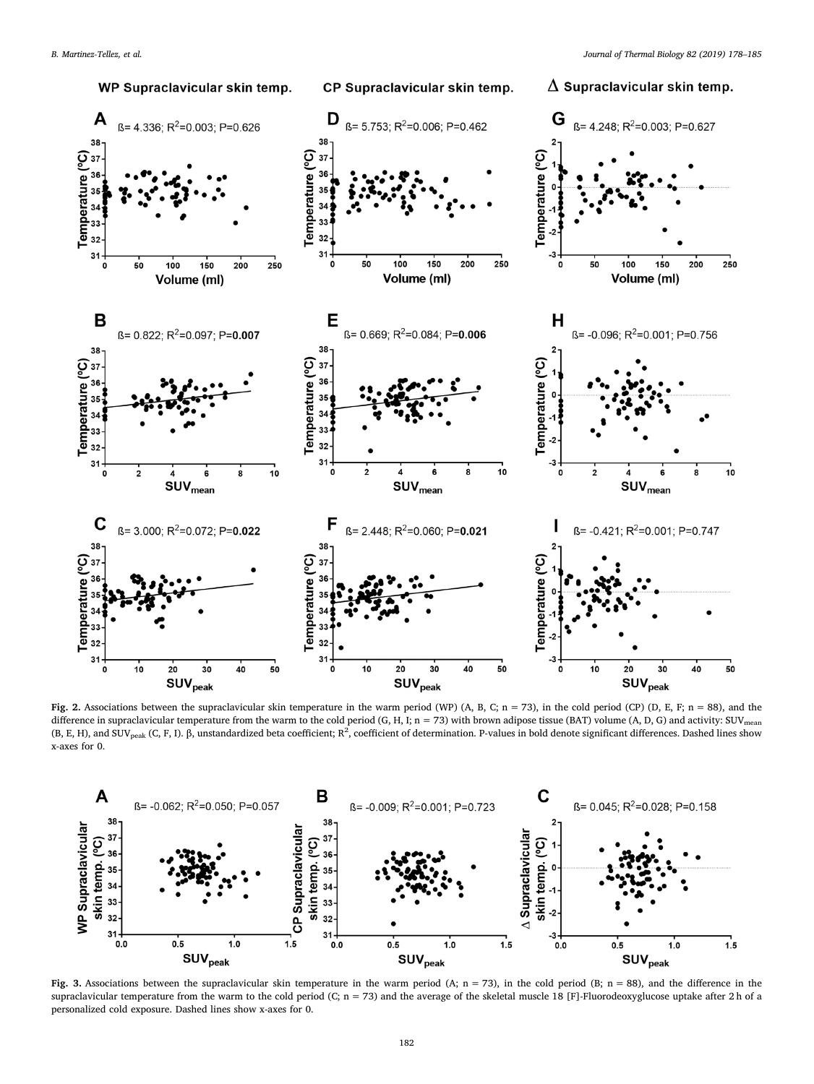<span id="page-4-0"></span>

Fig. 2. Associations between the supraclavicular skin temperature in the warm period (WP) (A, B, C; n = 73), in the cold period (CP) (D, E, F; n = 88), and the difference in supraclavicular temperature from the warm to the cold period (G, H, I; n = 73) with brown adipose tissue (BAT) volume (A, D, G) and activity: SUV<sub>mean</sub> (B, E, H), and SUV<sub>peak</sub> (C, F, I).  $\beta$ , unstandardized beta coefficient; R<sup>2</sup>, coefficient of determination. P-values in bold denote significant differences. Dashed lines show x-axes for 0.

<span id="page-4-1"></span>

Fig. 3. Associations between the supraclavicular skin temperature in the warm period (A;  $n = 73$ ), in the cold period (B;  $n = 88$ ), and the difference in the supraclavicular temperature from the warm to the cold period (C;  $n = 73$ ) and the average of the skeletal muscle 18 [F]-Fluorodeoxyglucose uptake after 2 h of a personalized cold exposure. Dashed lines show x-axes for 0.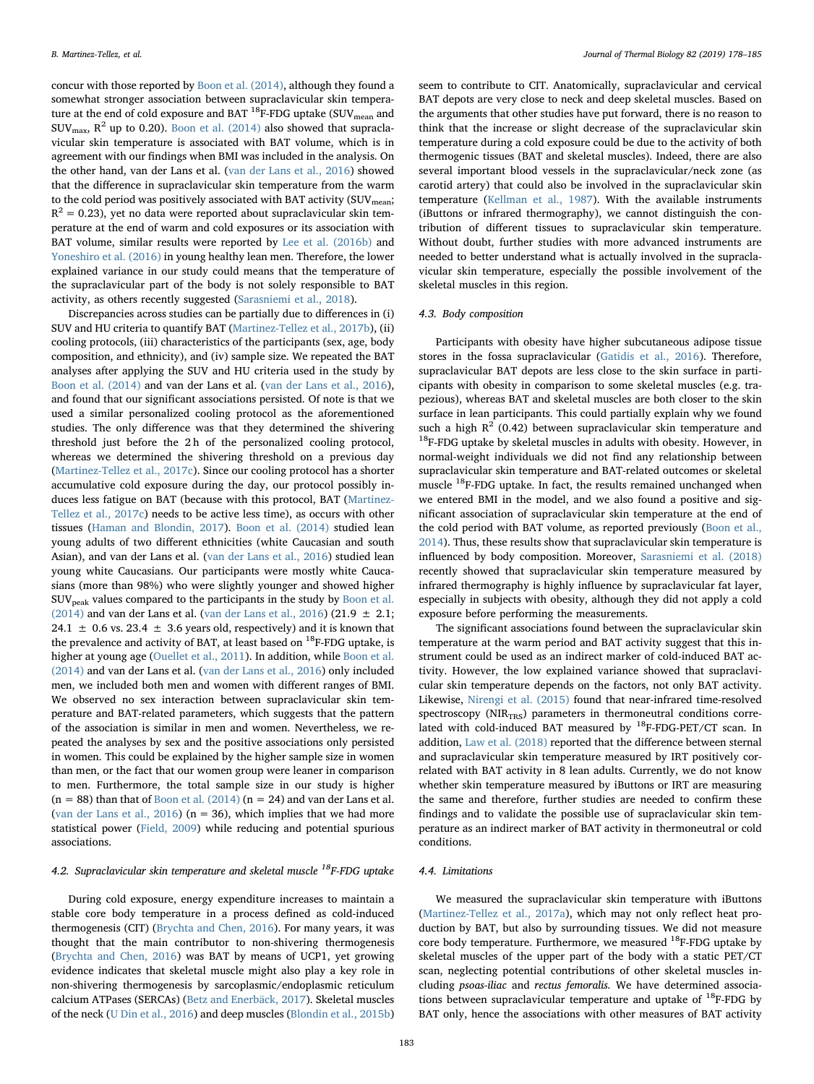concur with those reported by [Boon et al. \(2014\)](#page-6-4), although they found a somewhat stronger association between supraclavicular skin temperature at the end of cold exposure and BAT <sup>18</sup>F-FDG uptake (SUV<sub>mean</sub> and  $\text{SUV}_{\text{max}}$ ,  $\text{R}^2$  up to 0.20). [Boon et al. \(2014\)](#page-6-4) also showed that supraclavicular skin temperature is associated with BAT volume, which is in agreement with our findings when BMI was included in the analysis. On the other hand, van der Lans et al. [\(van der Lans et al., 2016](#page-7-7)) showed that the difference in supraclavicular skin temperature from the warm to the cold period was positively associated with BAT activity (SUV<sub>mean</sub>;  $R^2 = 0.23$ ), vet no data were reported about supraclavicular skin temperature at the end of warm and cold exposures or its association with BAT volume, similar results were reported by [Lee et al. \(2016b\)](#page-7-10) and [Yoneshiro et al. \(2016\)](#page-7-11) in young healthy lean men. Therefore, the lower explained variance in our study could means that the temperature of the supraclavicular part of the body is not solely responsible to BAT activity, as others recently suggested [\(Sarasniemi et al., 2018](#page-7-20)).

Discrepancies across studies can be partially due to differences in (i) SUV and HU criteria to quantify BAT [\(Martinez-Tellez et al., 2017b\)](#page-7-21), (ii) cooling protocols, (iii) characteristics of the participants (sex, age, body composition, and ethnicity), and (iv) sample size. We repeated the BAT analyses after applying the SUV and HU criteria used in the study by [Boon et al. \(2014\)](#page-6-4) and van der Lans et al. ([van der Lans et al., 2016](#page-7-7)), and found that our significant associations persisted. Of note is that we used a similar personalized cooling protocol as the aforementioned studies. The only difference was that they determined the shivering threshold just before the 2 h of the personalized cooling protocol, whereas we determined the shivering threshold on a previous day ([Martinez-Tellez et al., 2017c](#page-7-14)). Since our cooling protocol has a shorter accumulative cold exposure during the day, our protocol possibly induces less fatigue on BAT (because with this protocol, BAT ([Martinez-](#page-7-14)[Tellez et al., 2017c\)](#page-7-14) needs to be active less time), as occurs with other tissues [\(Haman and Blondin, 2017](#page-6-18)). [Boon et al. \(2014\)](#page-6-4) studied lean young adults of two different ethnicities (white Caucasian and south Asian), and van der Lans et al. ([van der Lans et al., 2016](#page-7-7)) studied lean young white Caucasians. Our participants were mostly white Caucasians (more than 98%) who were slightly younger and showed higher  $\text{SUV}_{\text{peak}}$  values compared to the participants in the study by [Boon et al.](#page-6-4) [\(2014\)](#page-6-4) and van der Lans et al. [\(van der Lans et al., 2016\)](#page-7-7) (21.9  $\pm$  2.1; 24.1  $\pm$  0.6 vs. 23.4  $\pm$  3.6 years old, respectively) and it is known that the prevalence and activity of BAT, at least based on  $^{18}$ F-FDG uptake, is higher at young age [\(Ouellet et al., 2011](#page-7-22)). In addition, while [Boon et al.](#page-6-4) [\(2014\)](#page-6-4) and van der Lans et al. ([van der Lans et al., 2016](#page-7-7)) only included men, we included both men and women with different ranges of BMI. We observed no sex interaction between supraclavicular skin temperature and BAT-related parameters, which suggests that the pattern of the association is similar in men and women. Nevertheless, we repeated the analyses by sex and the positive associations only persisted in women. This could be explained by the higher sample size in women than men, or the fact that our women group were leaner in comparison to men. Furthermore, the total sample size in our study is higher ( $n = 88$ ) than that of [Boon et al. \(2014\)](#page-6-4) ( $n = 24$ ) and van der Lans et al. ([van der Lans et al., 2016\)](#page-7-7) ( $n = 36$ ), which implies that we had more statistical power ([Field, 2009\)](#page-6-19) while reducing and potential spurious associations.

# 4.2. Supraclavicular skin temperature and skeletal muscle  $^{18}$ F-FDG uptake

During cold exposure, energy expenditure increases to maintain a stable core body temperature in a process defined as cold-induced thermogenesis (CIT) ([Brychta and Chen, 2016](#page-6-11)). For many years, it was thought that the main contributor to non-shivering thermogenesis ([Brychta and Chen, 2016\)](#page-6-11) was BAT by means of UCP1, yet growing evidence indicates that skeletal muscle might also play a key role in non-shivering thermogenesis by sarcoplasmic/endoplasmic reticulum calcium ATPases (SERCAs) ([Betz and Enerbäck, 2017\)](#page-6-20). Skeletal muscles of the neck ([U Din et al., 2016\)](#page-7-12) and deep muscles ([Blondin et al., 2015b\)](#page-6-12)

seem to contribute to CIT. Anatomically, supraclavicular and cervical BAT depots are very close to neck and deep skeletal muscles. Based on the arguments that other studies have put forward, there is no reason to think that the increase or slight decrease of the supraclavicular skin temperature during a cold exposure could be due to the activity of both thermogenic tissues (BAT and skeletal muscles). Indeed, there are also several important blood vessels in the supraclavicular/neck zone (as carotid artery) that could also be involved in the supraclavicular skin temperature ([Kellman et al., 1987\)](#page-6-21). With the available instruments (iButtons or infrared thermography), we cannot distinguish the contribution of different tissues to supraclavicular skin temperature. Without doubt, further studies with more advanced instruments are needed to better understand what is actually involved in the supraclavicular skin temperature, especially the possible involvement of the skeletal muscles in this region.

# 4.3. Body composition

Participants with obesity have higher subcutaneous adipose tissue stores in the fossa supraclavicular ([Gatidis et al., 2016\)](#page-6-10). Therefore, supraclavicular BAT depots are less close to the skin surface in participants with obesity in comparison to some skeletal muscles (e.g. trapezious), whereas BAT and skeletal muscles are both closer to the skin surface in lean participants. This could partially explain why we found such a high  $R^2$  (0.42) between supraclavicular skin temperature and  $^{18}$  F-FDG uptake by skeletal muscles in adults with obesity. However, in normal-weight individuals we did not find any relationship between supraclavicular skin temperature and BAT-related outcomes or skeletal muscle <sup>18</sup>F-FDG uptake. In fact, the results remained unchanged when we entered BMI in the model, and we also found a positive and significant association of supraclavicular skin temperature at the end of the cold period with BAT volume, as reported previously ([Boon et al.,](#page-6-4) [2014\)](#page-6-4). Thus, these results show that supraclavicular skin temperature is influenced by body composition. Moreover, [Sarasniemi et al. \(2018\)](#page-7-20) recently showed that supraclavicular skin temperature measured by infrared thermography is highly influence by supraclavicular fat layer, especially in subjects with obesity, although they did not apply a cold exposure before performing the measurements.

The significant associations found between the supraclavicular skin temperature at the warm period and BAT activity suggest that this instrument could be used as an indirect marker of cold-induced BAT activity. However, the low explained variance showed that supraclavicular skin temperature depends on the factors, not only BAT activity. Likewise, [Nirengi et al. \(2015\)](#page-7-23) found that near-infrared time-resolved spectroscopy ( $NIR_{TRS}$ ) parameters in thermoneutral conditions correlated with cold-induced BAT measured by <sup>18</sup>F-FDG-PET/CT scan. In addition, [Law et al. \(2018\)](#page-6-22) reported that the difference between sternal and supraclavicular skin temperature measured by IRT positively correlated with BAT activity in 8 lean adults. Currently, we do not know whether skin temperature measured by iButtons or IRT are measuring the same and therefore, further studies are needed to confirm these findings and to validate the possible use of supraclavicular skin temperature as an indirect marker of BAT activity in thermoneutral or cold conditions.

# 4.4. Limitations

We measured the supraclavicular skin temperature with iButtons ([Martinez-Tellez et al., 2017a\)](#page-7-8), which may not only reflect heat production by BAT, but also by surrounding tissues. We did not measure core body temperature. Furthermore, we measured <sup>18</sup>F-FDG uptake by skeletal muscles of the upper part of the body with a static PET/CT scan, neglecting potential contributions of other skeletal muscles including psoas-iliac and rectus femoralis. We have determined associations between supraclavicular temperature and uptake of 18F-FDG by BAT only, hence the associations with other measures of BAT activity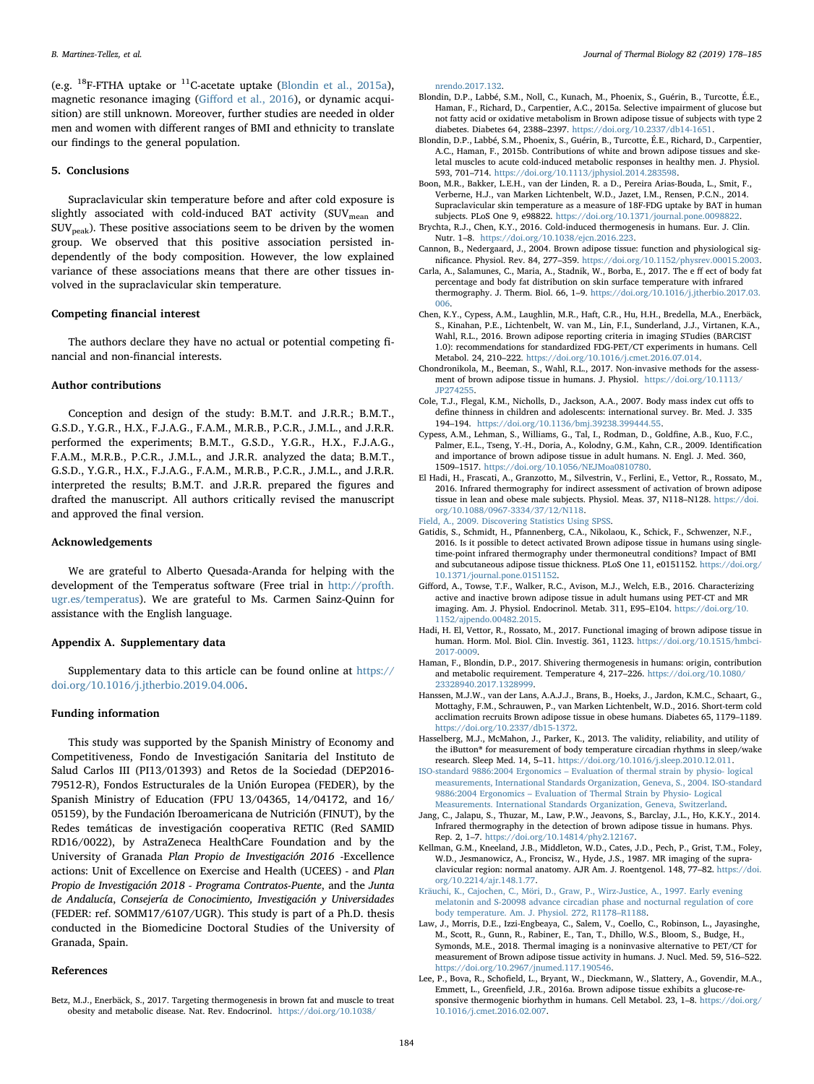(e.g.  $^{18}$ F-FTHA uptake or  $^{11}$ C-acetate uptake ([Blondin et al., 2015a](#page-6-23)), magnetic resonance imaging (Giff[ord et al., 2016](#page-6-24)), or dynamic acquisition) are still unknown. Moreover, further studies are needed in older men and women with different ranges of BMI and ethnicity to translate our findings to the general population.

#### 5. Conclusions

Supraclavicular skin temperature before and after cold exposure is slightly associated with cold-induced BAT activity (SUV<sub>mean</sub> and  $\text{SUV}_{\text{peak}}$ ). These positive associations seem to be driven by the women group. We observed that this positive association persisted independently of the body composition. However, the low explained variance of these associations means that there are other tissues involved in the supraclavicular skin temperature.

# Competing financial interest

The authors declare they have no actual or potential competing financial and non-financial interests.

# Author contributions

Conception and design of the study: B.M.T. and J.R.R.; B.M.T., G.S.D., Y.G.R., H.X., F.J.A.G., F.A.M., M.R.B., P.C.R., J.M.L., and J.R.R. performed the experiments; B.M.T., G.S.D., Y.G.R., H.X., F.J.A.G., F.A.M., M.R.B., P.C.R., J.M.L., and J.R.R. analyzed the data; B.M.T., G.S.D., Y.G.R., H.X., F.J.A.G., F.A.M., M.R.B., P.C.R., J.M.L., and J.R.R. interpreted the results; B.M.T. and J.R.R. prepared the figures and drafted the manuscript. All authors critically revised the manuscript and approved the final version.

### Acknowledgements

We are grateful to Alberto Quesada-Aranda for helping with the development of the Temperatus software (Free trial in [http://profth.](http://profth.ugr.es/temperatus) [ugr.es/temperatus\)](http://profth.ugr.es/temperatus). We are grateful to Ms. Carmen Sainz-Quinn for assistance with the English language.

### Appendix A. Supplementary data

Supplementary data to this article can be found online at [https://](https://doi.org/10.1016/j.jtherbio.2019.04.006) [doi.org/10.1016/j.jtherbio.2019.04.006](https://doi.org/10.1016/j.jtherbio.2019.04.006).

### Funding information

This study was supported by the Spanish Ministry of Economy and Competitiveness, Fondo de Investigación Sanitaria del Instituto de Salud Carlos III (PI13/01393) and Retos de la Sociedad (DEP2016- 79512-R), Fondos Estructurales de la Unión Europea (FEDER), by the Spanish Ministry of Education (FPU 13/04365, 14/04172, and 16/ 05159), by the Fundación Iberoamericana de Nutrición (FINUT), by the Redes temáticas de investigación cooperativa RETIC (Red SAMID RD16/0022), by AstraZeneca HealthCare Foundation and by the University of Granada Plan Propio de Investigación 2016 -Excellence actions: Unit of Excellence on Exercise and Health (UCEES) - and Plan Propio de Investigación 2018 - Programa Contratos-Puente, and the Junta de Andalucía, Consejería de Conocimiento, Investigación y Universidades (FEDER: ref. SOMM17/6107/UGR). This study is part of a Ph.D. thesis conducted in the Biomedicine Doctoral Studies of the University of Granada, Spain.

### References

<span id="page-6-20"></span>Betz, M.J., Enerbäck, S., 2017. Targeting thermogenesis in brown fat and muscle to treat obesity and metabolic disease. Nat. Rev. Endocrinol. [https://doi.org/10.1038/](https://doi.org/10.1038/nrendo.2017.132)

[nrendo.2017.132](https://doi.org/10.1038/nrendo.2017.132).

- <span id="page-6-23"></span>Blondin, D.P., Labbé, S.M., Noll, C., Kunach, M., Phoenix, S., Guérin, B., Turcotte, É.E., Haman, F., Richard, D., Carpentier, A.C., 2015a. Selective impairment of glucose but not fatty acid or oxidative metabolism in Brown adipose tissue of subjects with type 2 diabetes. Diabetes 64, 2388–2397. <https://doi.org/10.2337/db14-1651>.
- <span id="page-6-12"></span>Blondin, D.P., Labbé, S.M., Phoenix, S., Guérin, B., Turcotte, É.E., Richard, D., Carpentier, A.C., Haman, F., 2015b. Contributions of white and brown adipose tissues and skeletal muscles to acute cold-induced metabolic responses in healthy men. J. Physiol. 593, 701–714. <https://doi.org/10.1113/jphysiol.2014.283598>.
- <span id="page-6-4"></span>Boon, M.R., Bakker, L.E.H., van der Linden, R. a D., Pereira Arias-Bouda, L., Smit, F., Verberne, H.J., van Marken Lichtenbelt, W.D., Jazet, I.M., Rensen, P.C.N., 2014. Supraclavicular skin temperature as a measure of 18F-FDG uptake by BAT in human subjects. PLoS One 9, e98822. <https://doi.org/10.1371/journal.pone.0098822>.
- <span id="page-6-11"></span>Brychta, R.J., Chen, K.Y., 2016. Cold-induced thermogenesis in humans. Eur. J. Clin. Nutr. 1–8. [https://doi.org/10.1038/ejcn.2016.223.](https://doi.org/10.1038/ejcn.2016.223)
- <span id="page-6-3"></span>Cannon, B., Nedergaard, J., 2004. Brown adipose tissue: function and physiological significance. Physiol. Rev. 84, 277–359. [https://doi.org/10.1152/physrev.00015.2003.](https://doi.org/10.1152/physrev.00015.2003)
- <span id="page-6-9"></span>Carla, A., Salamunes, C., Maria, A., Stadnik, W., Borba, E., 2017. The e ff ect of body fat percentage and body fat distribution on skin surface temperature with infrared thermography. J. Therm. Biol. 66, 1–9. [https://doi.org/10.1016/j.jtherbio.2017.03.](https://doi.org/10.1016/j.jtherbio.2017.03.006) [006](https://doi.org/10.1016/j.jtherbio.2017.03.006).
- <span id="page-6-13"></span>Chen, K.Y., Cypess, A.M., Laughlin, M.R., Haft, C.R., Hu, H.H., Bredella, M.A., Enerbäck, S., Kinahan, P.E., Lichtenbelt, W. van M., Lin, F.I., Sunderland, J.J., Virtanen, K.A., Wahl, R.L., 2016. Brown adipose reporting criteria in imaging STudies (BARCIST 1.0): recommendations for standardized FDG-PET/CT experiments in humans. Cell Metabol. 24, 210–222. [https://doi.org/10.1016/j.cmet.2016.07.014.](https://doi.org/10.1016/j.cmet.2016.07.014)
- <span id="page-6-1"></span>Chondronikola, M., Beeman, S., Wahl, R.L., 2017. Non-invasive methods for the assessment of brown adipose tissue in humans. J. Physiol. [https://doi.org/10.1113/](https://doi.org/10.1113/JP274255) [JP274255.](https://doi.org/10.1113/JP274255)
- <span id="page-6-17"></span>Cole, T.J., Flegal, K.M., Nicholls, D., Jackson, A.A., 2007. Body mass index cut offs to define thinness in children and adolescents: international survey. Br. Med. J. 335 194–194. [https://doi.org/10.1136/bmj.39238.399444.55.](https://doi.org/10.1136/bmj.39238.399444.55)
- <span id="page-6-0"></span>Cypess, A.M., Lehman, S., Williams, G., Tal, I., Rodman, D., Goldfine, A.B., Kuo, F.C., Palmer, E.L., Tseng, Y.-H., Doria, A., Kolodny, G.M., Kahn, C.R., 2009. Identification and importance of brown adipose tissue in adult humans. N. Engl. J. Med. 360, 1509–1517. [https://doi.org/10.1056/NEJMoa0810780.](https://doi.org/10.1056/NEJMoa0810780)
- <span id="page-6-7"></span>El Hadi, H., Frascati, A., Granzotto, M., Silvestrin, V., Ferlini, E., Vettor, R., Rossato, M., 2016. Infrared thermography for indirect assessment of activation of brown adipose tissue in lean and obese male subjects. Physiol. Meas. 37, N118–N128. [https://doi.](https://doi.org/10.1088/0967-3334/37/12/N118) [org/10.1088/0967-3334/37/12/N118](https://doi.org/10.1088/0967-3334/37/12/N118).
- <span id="page-6-19"></span>[Field, A., 2009. Discovering Statistics Using SPSS.](http://refhub.elsevier.com/S0306-4565(19)30140-8/sref13)
- <span id="page-6-10"></span>Gatidis, S., Schmidt, H., Pfannenberg, C.A., Nikolaou, K., Schick, F., Schwenzer, N.F., 2016. Is it possible to detect activated Brown adipose tissue in humans using singletime-point infrared thermography under thermoneutral conditions? Impact of BMI and subcutaneous adipose tissue thickness. PLoS One 11, e0151152. [https://doi.org/](https://doi.org/10.1371/journal.pone.0151152) [10.1371/journal.pone.0151152.](https://doi.org/10.1371/journal.pone.0151152)
- <span id="page-6-24"></span>Gifford, A., Towse, T.F., Walker, R.C., Avison, M.J., Welch, E.B., 2016. Characterizing active and inactive brown adipose tissue in adult humans using PET-CT and MR imaging. Am. J. Physiol. Endocrinol. Metab. 311, E95–E104. [https://doi.org/10.](https://doi.org/10.1152/ajpendo.00482.2015) [1152/ajpendo.00482.2015](https://doi.org/10.1152/ajpendo.00482.2015).
- <span id="page-6-2"></span>Hadi, H. El, Vettor, R., Rossato, M., 2017. Functional imaging of brown adipose tissue in human. Horm. Mol. Biol. Clin. Investig. 361, 1123. [https://doi.org/10.1515/hmbci-](https://doi.org/10.1515/hmbci-2017-0009)[2017-0009](https://doi.org/10.1515/hmbci-2017-0009).
- <span id="page-6-18"></span>Haman, F., Blondin, D.P., 2017. Shivering thermogenesis in humans: origin, contribution and metabolic requirement. Temperature 4, 217–226. [https://doi.org/10.1080/](https://doi.org/10.1080/23328940.2017.1328999) [23328940.2017.1328999](https://doi.org/10.1080/23328940.2017.1328999).
- <span id="page-6-14"></span>Hanssen, M.J.W., van der Lans, A.A.J.J., Brans, B., Hoeks, J., Jardon, K.M.C., Schaart, G., Mottaghy, F.M., Schrauwen, P., van Marken Lichtenbelt, W.D., 2016. Short-term cold acclimation recruits Brown adipose tissue in obese humans. Diabetes 65, 1179–1189. <https://doi.org/10.2337/db15-1372>.
- <span id="page-6-6"></span>Hasselberg, M.J., McMahon, J., Parker, K., 2013. The validity, reliability, and utility of the iButton® for measurement of body temperature circadian rhythms in sleep/wake research. Sleep Med. 14, 5–11. [https://doi.org/10.1016/j.sleep.2010.12.011.](https://doi.org/10.1016/j.sleep.2010.12.011)
- <span id="page-6-16"></span>ISO-standard 9886:2004 Ergonomics – [Evaluation of thermal strain by physio- logical](http://refhub.elsevier.com/S0306-4565(19)30140-8/sref20) [measurements, International Standards Organization, Geneva, S., 2004. ISO-standard](http://refhub.elsevier.com/S0306-4565(19)30140-8/sref20) 9886:2004 Ergonomics – [Evaluation of Thermal Strain by Physio- Logical](http://refhub.elsevier.com/S0306-4565(19)30140-8/sref20) [Measurements. International Standards Organization, Geneva, Switzerland.](http://refhub.elsevier.com/S0306-4565(19)30140-8/sref20)
- <span id="page-6-8"></span>Jang, C., Jalapu, S., Thuzar, M., Law, P.W., Jeavons, S., Barclay, J.L., Ho, K.K.Y., 2014. Infrared thermography in the detection of brown adipose tissue in humans. Phys. Rep. 2, 1–7. <https://doi.org/10.14814/phy2.12167>.
- <span id="page-6-21"></span>Kellman, G.M., Kneeland, J.B., Middleton, W.D., Cates, J.D., Pech, P., Grist, T.M., Foley, W.D., Jesmanowicz, A., Froncisz, W., Hyde, J.S., 1987. MR imaging of the supraclavicular region: normal anatomy. AJR Am. J. Roentgenol. 148, 77–82. [https://doi.](https://doi.org/10.2214/ajr.148.1.77) [org/10.2214/ajr.148.1.77.](https://doi.org/10.2214/ajr.148.1.77)
- <span id="page-6-15"></span>[Kräuchi, K., Cajochen, C., Möri, D., Graw, P., Wirz-Justice, A., 1997. Early evening](http://refhub.elsevier.com/S0306-4565(19)30140-8/sref23) [melatonin and S-20098 advance circadian phase and nocturnal regulation of core](http://refhub.elsevier.com/S0306-4565(19)30140-8/sref23) [body temperature. Am. J. Physiol. 272, R1178](http://refhub.elsevier.com/S0306-4565(19)30140-8/sref23)–R1188.
- <span id="page-6-22"></span>Law, J., Morris, D.E., Izzi-Engbeaya, C., Salem, V., Coello, C., Robinson, L., Jayasinghe, M., Scott, R., Gunn, R., Rabiner, E., Tan, T., Dhillo, W.S., Bloom, S., Budge, H., Symonds, M.E., 2018. Thermal imaging is a noninvasive alternative to PET/CT for measurement of Brown adipose tissue activity in humans. J. Nucl. Med. 59, 516–522. <https://doi.org/10.2967/jnumed.117.190546>.
- <span id="page-6-5"></span>Lee, P., Bova, R., Schofield, L., Bryant, W., Dieckmann, W., Slattery, A., Govendir, M.A., Emmett, L., Greenfield, J.R., 2016a. Brown adipose tissue exhibits a glucose-responsive thermogenic biorhythm in humans. Cell Metabol. 23, 1-8. [https://doi.org/](https://doi.org/10.1016/j.cmet.2016.02.007) [10.1016/j.cmet.2016.02.007.](https://doi.org/10.1016/j.cmet.2016.02.007)